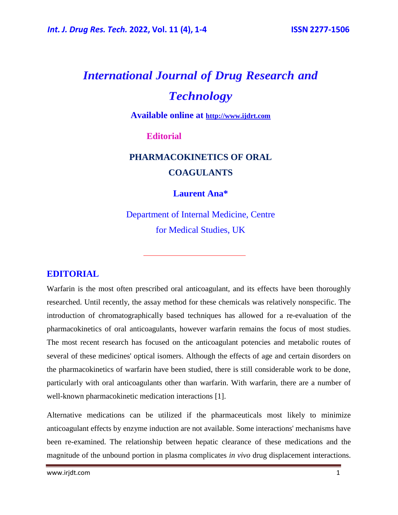# *International Journal of Drug Research and Technology*

**Available online at [http://www.ijdrt.com](http://www.ijdrt.com/)**

**Editorial**

### **PHARMACOKINETICS OF ORAL COAGULANTS**

**Laurent Ana\***

Department of Internal Medicine, Centre for Medical Studies, UK

### **EDITORIAL**

Warfarin is the most often prescribed oral anticoagulant, and its effects have been thoroughly researched. Until recently, the assay method for these chemicals was relatively nonspecific. The introduction of chromatographically based techniques has allowed for a re-evaluation of the pharmacokinetics of oral anticoagulants, however warfarin remains the focus of most studies. The most recent research has focused on the anticoagulant potencies and metabolic routes of several of these medicines' optical isomers. Although the effects of age and certain disorders on the pharmacokinetics of warfarin have been studied, there is still considerable work to be done, particularly with oral anticoagulants other than warfarin. With warfarin, there are a number of well-known pharmacokinetic medication interactions [1].

Alternative medications can be utilized if the pharmaceuticals most likely to minimize anticoagulant effects by enzyme induction are not available. Some interactions' mechanisms have been re-examined. The relationship between hepatic clearance of these medications and the magnitude of the unbound portion in plasma complicates *in vivo* drug displacement interactions.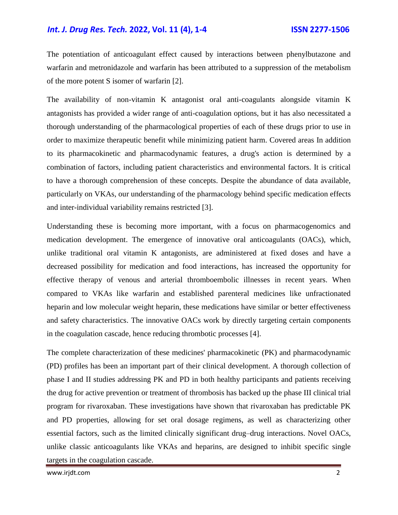#### *Int. J. Drug Res. Tech.* **2022, Vol. 11 (4), 1-4 ISSN 2277-1506**

The potentiation of anticoagulant effect caused by interactions between phenylbutazone and warfarin and metronidazole and warfarin has been attributed to a suppression of the metabolism of the more potent S isomer of warfarin [2].

The availability of non-vitamin K antagonist oral anti-coagulants alongside vitamin K antagonists has provided a wider range of anti-coagulation options, but it has also necessitated a thorough understanding of the pharmacological properties of each of these drugs prior to use in order to maximize therapeutic benefit while minimizing patient harm. Covered areas In addition to its pharmacokinetic and pharmacodynamic features, a drug's action is determined by a combination of factors, including patient characteristics and environmental factors. It is critical to have a thorough comprehension of these concepts. Despite the abundance of data available, particularly on VKAs, our understanding of the pharmacology behind specific medication effects and inter-individual variability remains restricted [3].

Understanding these is becoming more important, with a focus on pharmacogenomics and medication development. The emergence of innovative oral anticoagulants (OACs), which, unlike traditional oral vitamin K antagonists, are administered at fixed doses and have a decreased possibility for medication and food interactions, has increased the opportunity for effective therapy of venous and arterial thromboembolic illnesses in recent years. When compared to VKAs like warfarin and established parenteral medicines like unfractionated heparin and low molecular weight heparin, these medications have similar or better effectiveness and safety characteristics. The innovative OACs work by directly targeting certain components in the coagulation cascade, hence reducing thrombotic processes [4].

The complete characterization of these medicines' pharmacokinetic (PK) and pharmacodynamic (PD) profiles has been an important part of their clinical development. A thorough collection of phase I and II studies addressing PK and PD in both healthy participants and patients receiving the drug for active prevention or treatment of thrombosis has backed up the phase III clinical trial program for rivaroxaban. These investigations have shown that rivaroxaban has predictable PK and PD properties, allowing for set oral dosage regimens, as well as characterizing other essential factors, such as the limited clinically significant drug–drug interactions. Novel OACs, unlike classic anticoagulants like VKAs and heparins, are designed to inhibit specific single targets in the coagulation cascade.

www.irjdt.com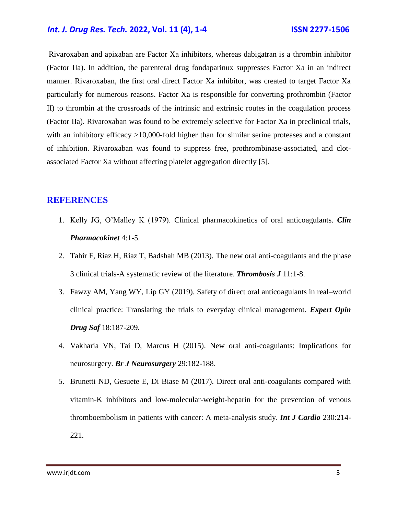#### *Int. J. Drug Res. Tech.* **2022, Vol. 11 (4), 1-4 ISSN 2277-1506**

Rivaroxaban and apixaban are Factor Xa inhibitors, whereas dabigatran is a thrombin inhibitor (Factor IIa). In addition, the parenteral drug fondaparinux suppresses Factor Xa in an indirect manner. Rivaroxaban, the first oral direct Factor Xa inhibitor, was created to target Factor Xa particularly for numerous reasons. Factor Xa is responsible for converting prothrombin (Factor II) to thrombin at the crossroads of the intrinsic and extrinsic routes in the coagulation process (Factor IIa). Rivaroxaban was found to be extremely selective for Factor Xa in preclinical trials, with an inhibitory efficacy >10,000-fold higher than for similar serine proteases and a constant of inhibition. Rivaroxaban was found to suppress free, prothrombinase-associated, and clotassociated Factor Xa without affecting platelet aggregation directly [5].

#### **REFERENCES**

- 1. Kelly JG, O'Malley K (1979). [Clinical pharmacokinetics of oral anticoagulants.](https://link.springer.com/article/10.2165/00003088-197904010-00001) *Clin Pharmacokinet* 4:1-5.
- 2. Tahir F, Riaz H, Riaz T, Badshah MB (2013). [The new oral anti-coagulants and the phase](https://thrombosisjournal.biomedcentral.com/articles/10.1186/1477-9560-11-18)  [3 clinical trials-A systematic review of the literature.](https://thrombosisjournal.biomedcentral.com/articles/10.1186/1477-9560-11-18) *Thrombosis J* 11:1-8.
- 3. Fawzy AM, Yang WY, Lip GY (2019). [Safety of direct oral anticoagulants in real–world](https://www.tandfonline.com/doi/abs/10.1080/14740338.2019.1578344)  [clinical practice: Translating the trials to everyday clinical management.](https://www.tandfonline.com/doi/abs/10.1080/14740338.2019.1578344) *Expert Opin Drug Saf* 18:187-209.
- 4. Vakharia VN, Tai D, Marcus H (2015). [New oral anti-coagulants: Implications for](https://www.tandfonline.com/doi/abs/10.3109/02688697.2014.997667)  [neurosurgery.](https://www.tandfonline.com/doi/abs/10.3109/02688697.2014.997667) *Br J Neurosurgery* 29:182-188.
- 5. Brunetti ND, Gesuete E, Di Biase M (2017). [Direct oral anti-coagulants compared with](https://www.sciencedirect.com/science/article/abs/pii/S0167527316348197)  [vitamin-K inhibitors and low-molecular-weight-heparin for the prevention of venous](https://www.sciencedirect.com/science/article/abs/pii/S0167527316348197)  [thromboembolism in patients with cancer: A meta-analysis study.](https://www.sciencedirect.com/science/article/abs/pii/S0167527316348197) *Int J Cardio* 230:214- 221.